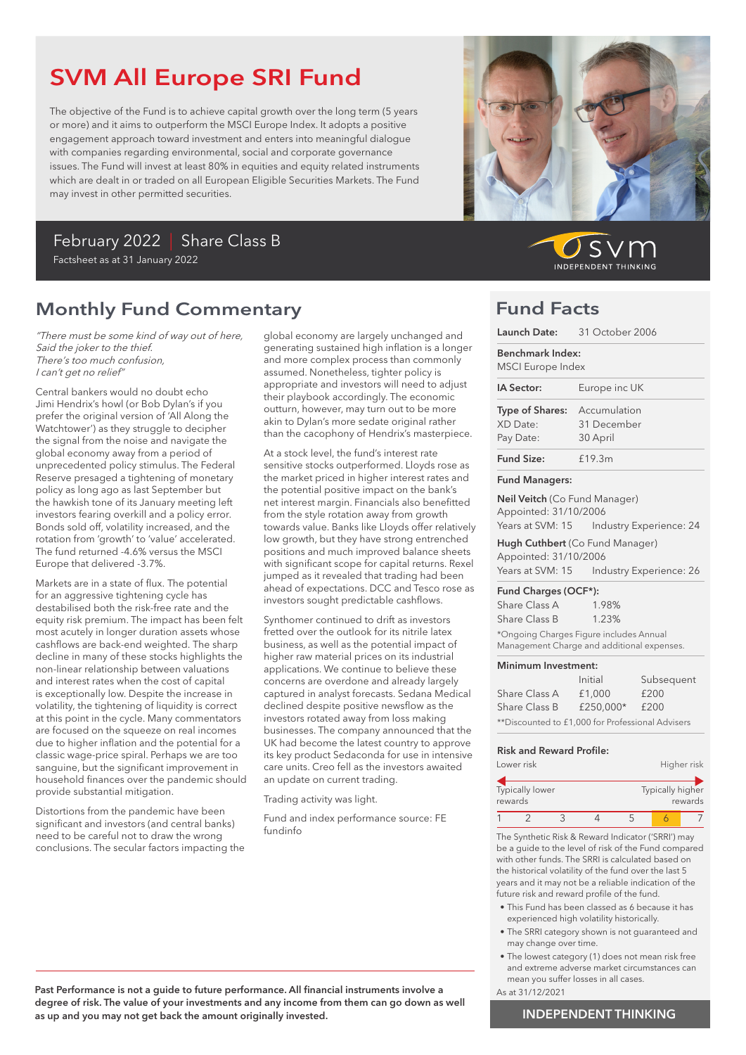# SVM All Europe SRI Fund

The objective of the Fund is to achieve capital growth over the long term (5 years or more) and it aims to outperform the MSCI Europe Index. It adopts a positive engagement approach toward investment and enters into meaningful dialogue with companies regarding environmental, social and corporate governance issues. The Fund will invest at least 80% in equities and equity related instruments which are dealt in or traded on all European Eligible Securities Markets. The Fund may invest in other permitted securities.

### February 2022 | Share Class B Factsheet as at 31 January 2022

# Monthly Fund Commentary

"There must be some kind of way out of here, Said the joker to the thief. There's too much confusion, I can't get no relief"

Central bankers would no doubt echo Jimi Hendrix's howl (or Bob Dylan's if you prefer the original version of 'All Along the Watchtower') as they struggle to decipher the signal from the noise and navigate the global economy away from a period of unprecedented policy stimulus. The Federal Reserve presaged a tightening of monetary policy as long ago as last September but the hawkish tone of its January meeting left investors fearing overkill and a policy error. Bonds sold off, volatility increased, and the rotation from 'growth' to 'value' accelerated. The fund returned -4.6% versus the MSCI Europe that delivered -3.7%.

Markets are in a state of flux. The potential for an aggressive tightening cycle has destabilised both the risk-free rate and the equity risk premium. The impact has been felt most acutely in longer duration assets whose cashflows are back-end weighted. The sharp decline in many of these stocks highlights the non-linear relationship between valuations and interest rates when the cost of capital is exceptionally low. Despite the increase in volatility, the tightening of liquidity is correct at this point in the cycle. Many commentators are focused on the squeeze on real incomes due to higher inflation and the potential for a classic wage-price spiral. Perhaps we are too sanguine, but the significant improvement in household finances over the pandemic should provide substantial mitigation.

Distortions from the pandemic have been significant and investors (and central banks) need to be careful not to draw the wrong conclusions. The secular factors impacting the global economy are largely unchanged and generating sustained high inflation is a longer and more complex process than commonly assumed. Nonetheless, tighter policy is appropriate and investors will need to adjust their playbook accordingly. The economic outturn, however, may turn out to be more akin to Dylan's more sedate original rather than the cacophony of Hendrix's masterpiece.

At a stock level, the fund's interest rate sensitive stocks outperformed. Lloyds rose as the market priced in higher interest rates and the potential positive impact on the bank's net interest margin. Financials also benefitted from the style rotation away from growth towards value. Banks like Lloyds offer relatively low growth, but they have strong entrenched positions and much improved balance sheets with significant scope for capital returns. Rexel jumped as it revealed that trading had been ahead of expectations. DCC and Tesco rose as investors sought predictable cashflows.

Synthomer continued to drift as investors fretted over the outlook for its nitrile latex business, as well as the potential impact of higher raw material prices on its industrial applications. We continue to believe these concerns are overdone and already largely captured in analyst forecasts. Sedana Medical declined despite positive newsflow as the investors rotated away from loss making businesses. The company announced that the UK had become the latest country to approve its key product Sedaconda for use in intensive care units. Creo fell as the investors awaited an update on current trading.

Trading activity was light.

Fund and index performance source: FE fundinfo



 $\mathcal{S}$ **INDEPENDENT THINKING** 

### Fund Facts

|                                                        | Launch Date: 31 October 2006                                                   |
|--------------------------------------------------------|--------------------------------------------------------------------------------|
| <b>Benchmark Index:</b><br>MSCI Europe Index           |                                                                                |
| IA Sector:                                             | Europe inc UK                                                                  |
| Type of Shares: Accumulation<br>XD Date:<br>Pay Date:  | 31 December<br>30 April                                                        |
| <b>Fund Size:</b>                                      | £19.3m                                                                         |
| <b>Fund Managers:</b>                                  |                                                                                |
| Neil Veitch (Co Fund Manager)<br>Appointed: 31/10/2006 | Years at SVM: 15    Industry Experience: 24                                    |
| Appointed: 31/10/2006                                  | Hugh Cuthbert (Co Fund Manager)<br>Years at SVM: 15    Industry Experience: 26 |
| Fund Charges (OCF*):<br>$Share Class A$ 198%           |                                                                                |

Share Class A 1.98% Share Class B 1.23% \*Ongoing Charges Figure includes Annual Management Charge and additional expenses.

#### Minimum Investment:

|                                                  | Initial   | Subsequent |  |  |
|--------------------------------------------------|-----------|------------|--|--|
| Share Class A                                    | £1,000    | £200       |  |  |
| Share Class B                                    | £250.000* | £200       |  |  |
| **Discounted to £1,000 for Professional Advisers |           |            |  |  |

#### Risk and Reward Profile:

| Lower risk                        |  |  |                  | Higher risk |  |
|-----------------------------------|--|--|------------------|-------------|--|
| <b>Typically lower</b><br>rewards |  |  | Typically higher | rewards     |  |
|                                   |  |  |                  |             |  |

The Synthetic Risk & Reward Indicator ('SRRI') may be a guide to the level of risk of the Fund compared with other funds. The SRRI is calculated based on the historical volatility of the fund over the last 5 years and it may not be a reliable indication of the future risk and reward profile of the fund.

- This Fund has been classed as 6 because it has experienced high volatility historically.
- The SRRI category shown is not guaranteed and may change over time.
- The lowest category (1) does not mean risk free and extreme adverse market circumstances can mean you suffer losses in all cases. As at 31/12/2021
- Past Performance is not a guide to future performance. All financial instruments involve a degree of risk. The value of your investments and any income from them can go down as well as up and you may not get back the amount originally invested.

INDEPENDENT THINKING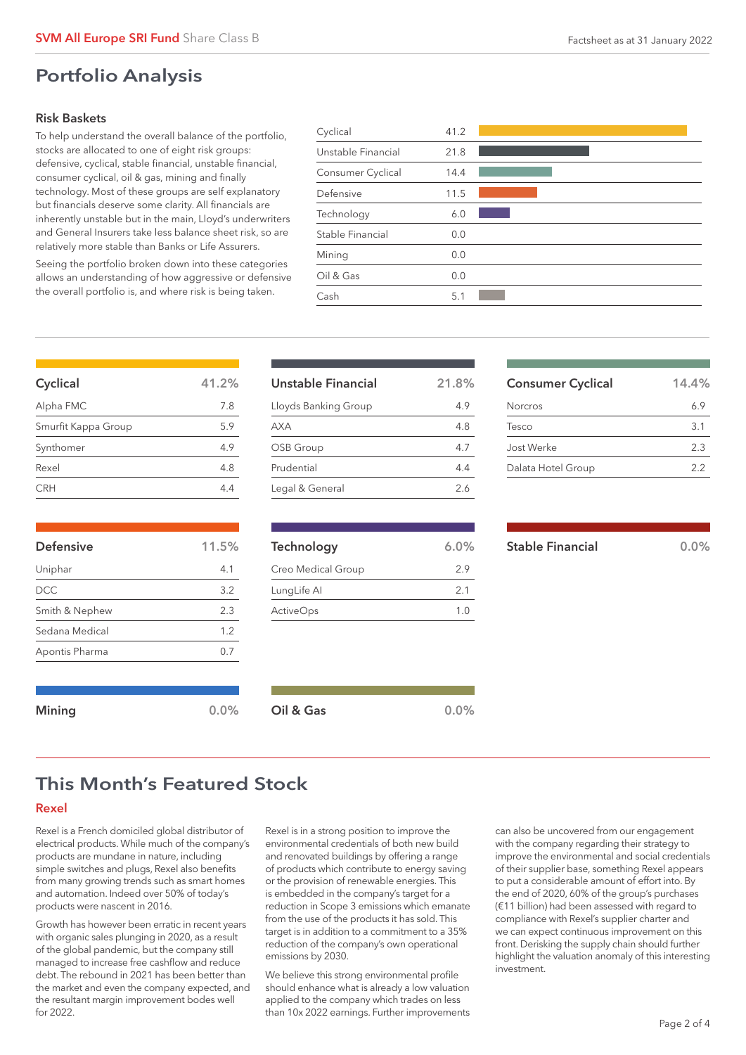### Risk Baskets

To help understand the overall balance of the portfolio, stocks are allocated to one of eight risk groups: defensive, cyclical, stable financial, unstable financial, consumer cyclical, oil & gas, mining and finally technology. Most of these groups are self explanatory but financials deserve some clarity. All financials are inherently unstable but in the main, Lloyd's underwriters and General Insurers take less balance sheet risk, so are relatively more stable than Banks or Life Assurers.

Seeing the portfolio broken down into these categories allows an understanding of how aggressive or defensive the overall portfolio is, and where risk is being taken.

| Cyclical           | 41.2 |  |
|--------------------|------|--|
| Unstable Financial | 21.8 |  |
| Consumer Cyclical  | 14.4 |  |
| Defensive          | 11.5 |  |
| Technology         | 6.0  |  |
| Stable Financial   | 0.0  |  |
| Mining             | 0.0  |  |
| Oil & Gas          | 0.0  |  |
| Cash               | 5.1  |  |
|                    |      |  |

| Cyclical            | 41.2% |
|---------------------|-------|
| Alpha FMC           | 7.8   |
| Smurfit Kappa Group | 5.9   |
| Synthomer           | 4.9   |
| Rexel               | 4.8   |
| CRH                 |       |

| <b>Defensive</b> | 11.5% |
|------------------|-------|
| Uniphar          | 4.1   |
| DCC              | 3.2   |
| Smith & Nephew   | 2.3   |
| Sedana Medical   | 1.2   |
| Apontis Pharma   | 0.7   |

| Unstable Financial   | 21.8% |
|----------------------|-------|
| Lloyds Banking Group | 4.9   |
| AXA                  | 4.8   |
| OSB Group            | 4.7   |
| Prudential           | 44    |
| Legal & General      | 26    |

| Technology         | $6.0\%$ |
|--------------------|---------|
| Creo Medical Group | 29      |
| LungLife Al        | 2.1     |
| <b>ActiveOps</b>   | 1.0     |
|                    |         |

Consumer Cyclical 14.4% Norcros 6.9 Tesco 3.1 Jost Werke 2.3 Dalata Hotel Group 2.2

Stable Financial 0.0%

## This Month's Featured Stock

Mining 0.0% Oil & Gas 0.0% 0.0%

### Rexel

Rexel is a French domiciled global distributor of electrical products. While much of the company's products are mundane in nature, including simple switches and plugs, Rexel also benefits from many growing trends such as smart homes and automation. Indeed over 50% of today's products were nascent in 2016.

Growth has however been erratic in recent years with organic sales plunging in 2020, as a result of the global pandemic, but the company still managed to increase free cashflow and reduce debt. The rebound in 2021 has been better than the market and even the company expected, and the resultant margin improvement bodes well for 2022.

Rexel is in a strong position to improve the environmental credentials of both new build and renovated buildings by offering a range of products which contribute to energy saving or the provision of renewable energies. This is embedded in the company's target for a reduction in Scope 3 emissions which emanate from the use of the products it has sold. This target is in addition to a commitment to a 35% reduction of the company's own operational emissions by 2030.

We believe this strong environmental profile should enhance what is already a low valuation applied to the company which trades on less than 10x 2022 earnings. Further improvements

can also be uncovered from our engagement with the company regarding their strategy to improve the environmental and social credentials of their supplier base, something Rexel appears to put a considerable amount of effort into. By the end of 2020, 60% of the group's purchases (€11 billion) had been assessed with regard to compliance with Rexel's supplier charter and we can expect continuous improvement on this front. Derisking the supply chain should further highlight the valuation anomaly of this interesting investment.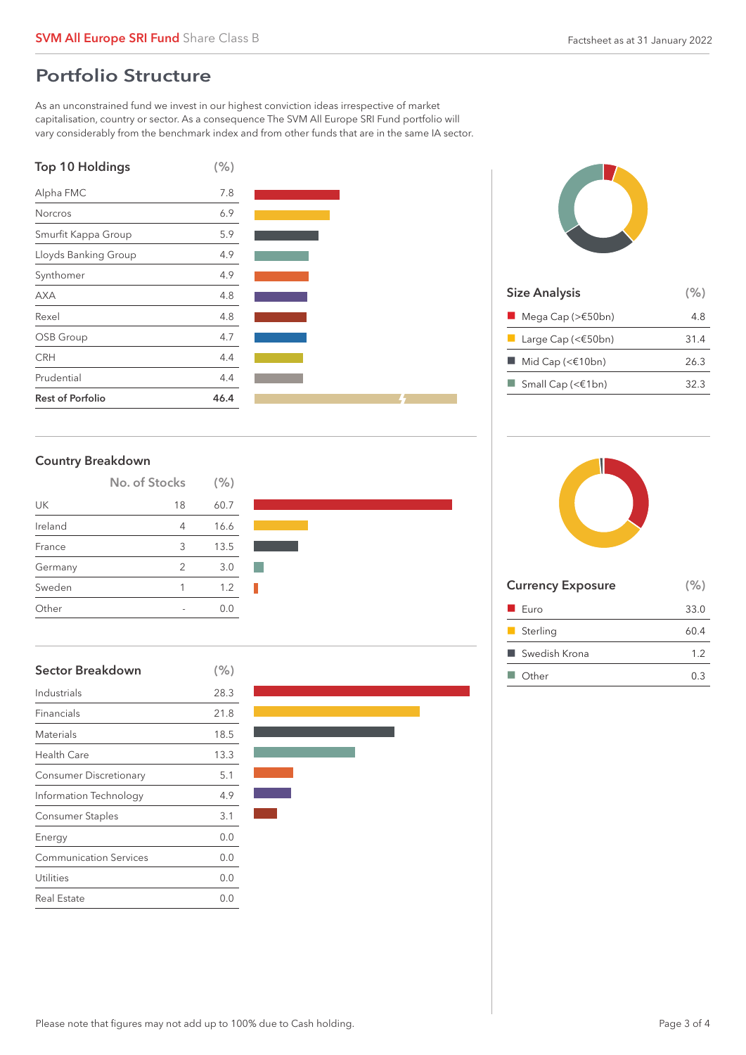# Portfolio Structure

As an unconstrained fund we invest in our highest conviction ideas irrespective of market capitalisation, country or sector. As a consequence The SVM All Europe SRI Fund portfolio will vary considerably from the benchmark index and from other funds that are in the same IA sector.







| <b>Size Analysis</b>                             | (%)  |
|--------------------------------------------------|------|
| $\blacksquare$ Mega Cap (> $\epsilon$ 50bn)      | 4.8  |
| <b>Large Cap (&lt;<math>\epsilon</math>50bn)</b> | 31.4 |
| $\blacksquare$ Mid Cap (< $\in$ 10bn)            | 26.3 |
| $\Box$ Small Cap (< $\in$ 1bn)                   | 32.3 |
|                                                  |      |

### Country Breakdown

|         | No. of Stocks | (% ) |  |
|---------|---------------|------|--|
| UK      | 18            | 60.7 |  |
| Ireland | 4             | 16.6 |  |
| France  | 3             | 13.5 |  |
| Germany | 2             | 3.0  |  |
| Sweden  | 1             | 1.2  |  |
| Other   |               | 0.0  |  |

| Sector Breakdown              | (% ) |
|-------------------------------|------|
| Industrials                   | 28.3 |
| Financials                    | 21.8 |
| Materials                     | 18.5 |
| Health Care                   | 13.3 |
| <b>Consumer Discretionary</b> | 5.1  |
| Information Technology        | 4.9  |
| Consumer Staples              | 3.1  |
| Energy                        | 0.0  |
| <b>Communication Services</b> | 0.0  |
| Utilities                     | 0.0  |
| Real Estate                   | 0.0  |





| <b>Currency Exposure</b> | (% ) |
|--------------------------|------|
| $\blacksquare$ Euro      | 33.0 |
| Sterling                 | 60.4 |
| Swedish Krona            | 1.2  |
| Other                    | 0.3  |
|                          |      |